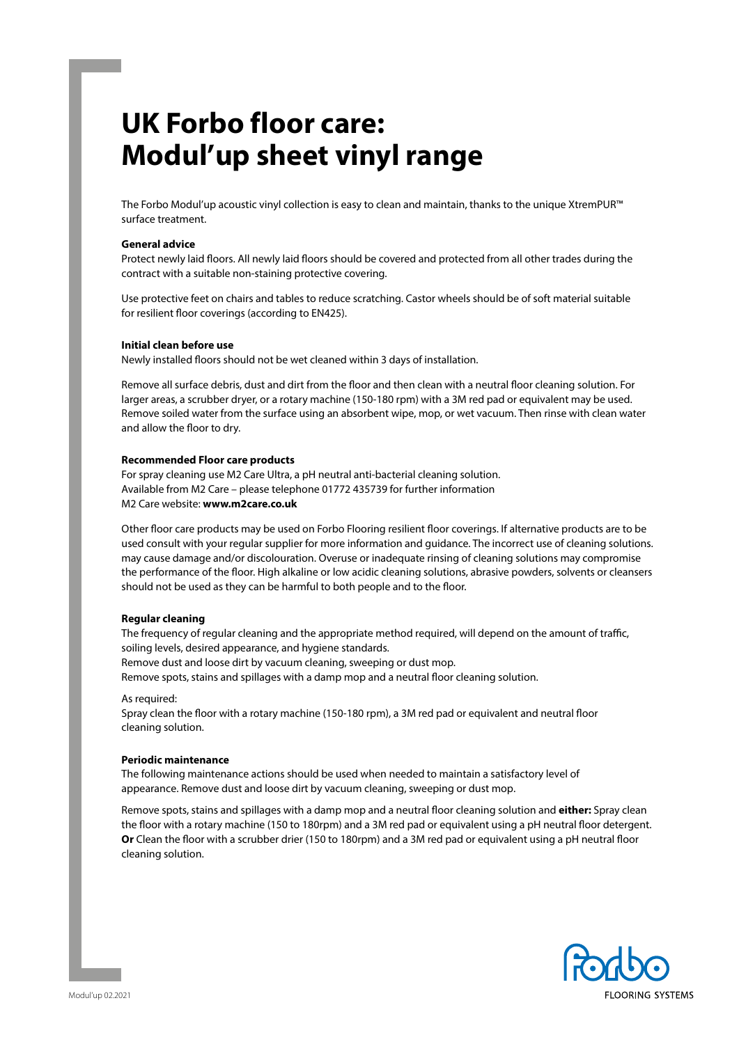# **UK Forbo floor care: Modul'up sheet vinyl range**

The Forbo Modul'up acoustic vinyl collection is easy to clean and maintain, thanks to the unique XtremPUR™ surface treatment.

#### **General advice**

Protect newly laid floors. All newly laid floors should be covered and protected from all other trades during the contract with a suitable non-staining protective covering.

Use protective feet on chairs and tables to reduce scratching. Castor wheels should be of soft material suitable for resilient floor coverings (according to EN425).

# **Initial clean before use**

Newly installed floors should not be wet cleaned within 3 days of installation.

Remove all surface debris, dust and dirt from the floor and then clean with a neutral floor cleaning solution. For larger areas, a scrubber dryer, or a rotary machine (150-180 rpm) with a 3M red pad or equivalent may be used. Remove soiled water from the surface using an absorbent wipe, mop, or wet vacuum. Then rinse with clean water and allow the floor to dry.

#### **Recommended Floor care products**

For spray cleaning use M2 Care Ultra, a pH neutral anti-bacterial cleaning solution. Available from M2 Care – please telephone 01772 435739 for further information M2 Care website: **www.m2care.co.uk** 

Other floor care products may be used on Forbo Flooring resilient floor coverings. If alternative products are to be used consult with your regular supplier for more information and guidance. The incorrect use of cleaning solutions. may cause damage and/or discolouration. Overuse or inadequate rinsing of cleaning solutions may compromise the performance of the floor. High alkaline or low acidic cleaning solutions, abrasive powders, solvents or cleansers should not be used as they can be harmful to both people and to the floor.

# **Regular cleaning**

The frequency of regular cleaning and the appropriate method required, will depend on the amount of traffic, soiling levels, desired appearance, and hygiene standards.

Remove dust and loose dirt by vacuum cleaning, sweeping or dust mop.

Remove spots, stains and spillages with a damp mop and a neutral floor cleaning solution.

As required:

Spray clean the floor with a rotary machine (150-180 rpm), a 3M red pad or equivalent and neutral floor cleaning solution.

#### **Periodic maintenance**

The following maintenance actions should be used when needed to maintain a satisfactory level of appearance. Remove dust and loose dirt by vacuum cleaning, sweeping or dust mop.

Remove spots, stains and spillages with a damp mop and a neutral floor cleaning solution and **either:** Spray clean the floor with a rotary machine (150 to 180rpm) and a 3M red pad or equivalent using a pH neutral floor detergent. **Or** Clean the floor with a scrubber drier (150 to 180rpm) and a 3M red pad or equivalent using a pH neutral floor cleaning solution.

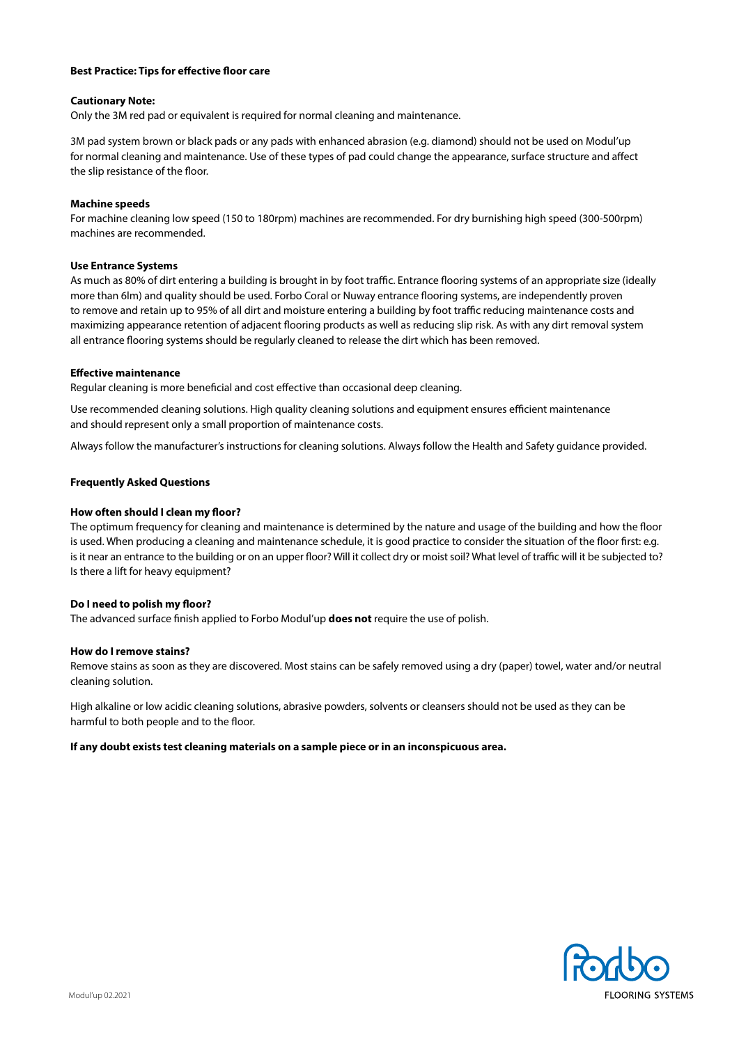# **Best Practice: Tips for effective floor care**

#### **Cautionary Note:**

Only the 3M red pad or equivalent is required for normal cleaning and maintenance.

3M pad system brown or black pads or any pads with enhanced abrasion (e.g. diamond) should not be used on Modul'up for normal cleaning and maintenance. Use of these types of pad could change the appearance, surface structure and affect the slip resistance of the floor.

#### **Machine speeds**

For machine cleaning low speed (150 to 180rpm) machines are recommended. For dry burnishing high speed (300-500rpm) machines are recommended.

#### **Use Entrance Systems**

As much as 80% of dirt entering a building is brought in by foot traffic. Entrance flooring systems of an appropriate size (ideally more than 6lm) and quality should be used. Forbo Coral or Nuway entrance flooring systems, are independently proven to remove and retain up to 95% of all dirt and moisture entering a building by foot traffic reducing maintenance costs and maximizing appearance retention of adjacent flooring products as well as reducing slip risk. As with any dirt removal system all entrance flooring systems should be regularly cleaned to release the dirt which has been removed.

## **Effective maintenance**

Regular cleaning is more beneficial and cost effective than occasional deep cleaning.

Use recommended cleaning solutions. High quality cleaning solutions and equipment ensures efficient maintenance and should represent only a small proportion of maintenance costs.

Always follow the manufacturer's instructions for cleaning solutions. Always follow the Health and Safety guidance provided.

#### **Frequently Asked Questions**

#### **How often should I clean my floor?**

The optimum frequency for cleaning and maintenance is determined by the nature and usage of the building and how the floor is used. When producing a cleaning and maintenance schedule, it is good practice to consider the situation of the floor first: e.g. is it near an entrance to the building or on an upper floor? Will it collect dry or moist soil? What level of traffic will it be subjected to? Is there a lift for heavy equipment?

#### **Do I need to polish my floor?**

The advanced surface finish applied to Forbo Modul'up **does not** require the use of polish.

#### **How do I remove stains?**

Remove stains as soon as they are discovered. Most stains can be safely removed using a dry (paper) towel, water and/or neutral cleaning solution.

High alkaline or low acidic cleaning solutions, abrasive powders, solvents or cleansers should not be used as they can be harmful to both people and to the floor.

#### **If any doubt exists test cleaning materials on a sample piece or in an inconspicuous area.**